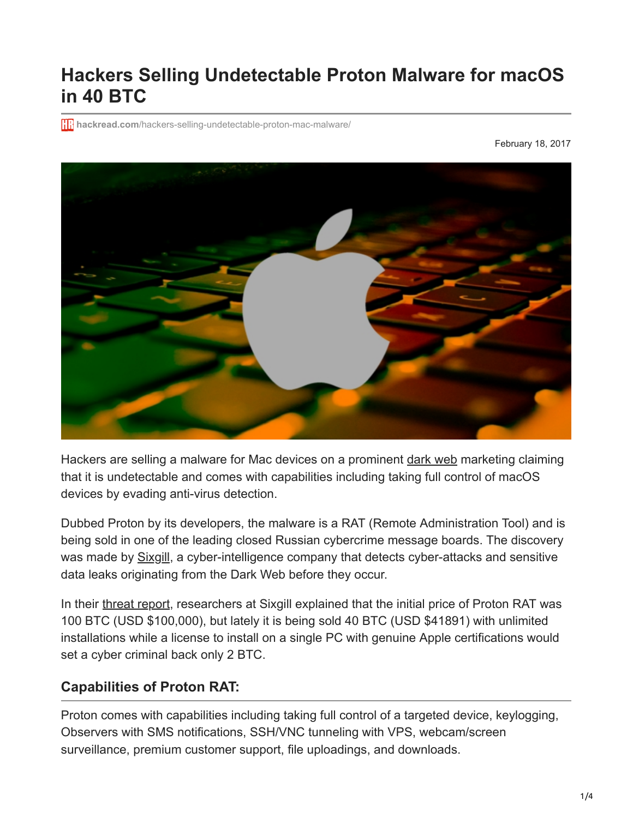## **Hackers Selling Undetectable Proton Malware for macOS in 40 BTC**

**htm** hackread.com[/hackers-selling-undetectable-proton-mac-malware/](https://www.hackread.com/hackers-selling-undetectable-proton-mac-malware/)

February 18, 2017



Hackers are selling a malware for Mac devices on a prominent [dark web](https://www.hackread.com/tag/Dark-Web) marketing claiming that it is undetectable and comes with capabilities including taking full control of macOS devices by evading anti-virus detection.

Dubbed Proton by its developers, the malware is a RAT (Remote Administration Tool) and is being sold in one of the leading closed Russian cybercrime message boards. The discovery was made by [Sixgill](https://www.cybersixgill.com/), a cyber-intelligence company that detects cyber-attacks and sensitive data leaks originating from the Dark Web before they occur.

In their [threat report](https://www.cybersixgill.com/wp-content/uploads/2017/02/02072017%20-%20Proton%20-%20A%20New%20MAC%20OS%20RAT%20-%20Sixgill%20Threat%20Report.pdf), researchers at Sixgill explained that the initial price of Proton RAT was 100 BTC (USD \$100,000), but lately it is being sold 40 BTC (USD \$41891) with unlimited installations while a license to install on a single PC with genuine Apple certifications would set a cyber criminal back only 2 BTC.

## **Capabilities of Proton RAT:**

Proton comes with capabilities including taking full control of a targeted device, keylogging, Observers with SMS notifications, SSH/VNC tunneling with VPS, webcam/screen surveillance, premium customer support, file uploadings, and downloads.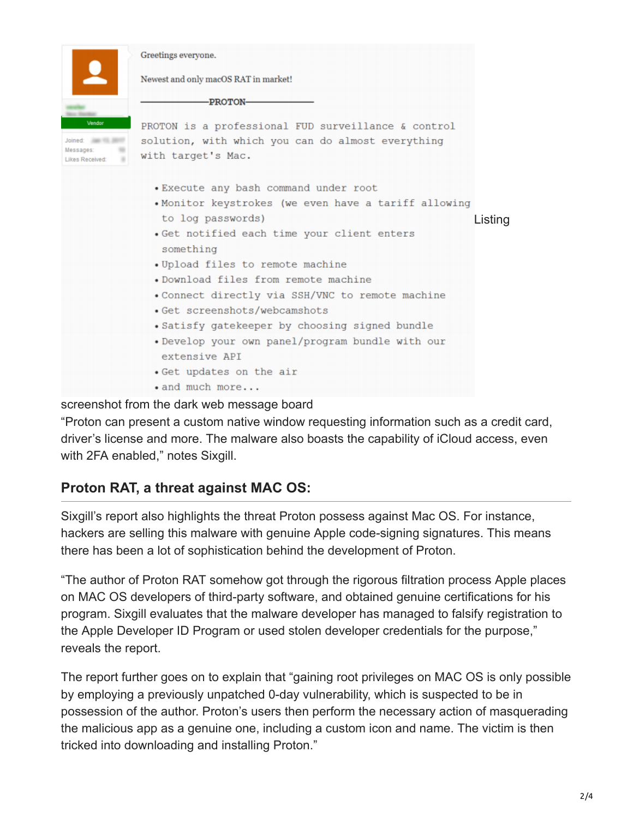|                                                              | Greetings everyone.                                                                  |  |
|--------------------------------------------------------------|--------------------------------------------------------------------------------------|--|
|                                                              | Newest and only macOS RAT in market!                                                 |  |
|                                                              | -PROTON-                                                                             |  |
| Vendor                                                       | PROTON is a professional FUD surveillance & control                                  |  |
| Joined: <b>INTERNATIONAL</b><br>Messages:<br>Likes Received: | solution, with which you can do almost everything<br>with target's Mac.              |  |
|                                                              | . Execute any bash command under root                                                |  |
|                                                              | . Monitor keystrokes (we even have a tariff allowing<br>to log passwords)<br>Listing |  |
|                                                              | Get notified each time your client enters<br>something                               |  |
|                                                              | . Upload files to remote machine<br>. Download files from remote machine             |  |
|                                                              | . Connect directly via SSH/VNC to remote machine<br>· Get screenshots/webcamshots    |  |
|                                                              | Satisfy gatekeeper by choosing signed bundle                                         |  |
|                                                              | • Develop your own panel/program bundle with our<br>extensive APT                    |  |
|                                                              | . Get updates on the air                                                             |  |
|                                                              | $\bullet$ and much more                                                              |  |

screenshot from the dark web message board

"Proton can present a custom native window requesting information such as a credit card, driver's license and more. The malware also boasts the capability of iCloud access, even with 2FA enabled," notes Sixgill.

## **Proton RAT, a threat against MAC OS:**

Sixgill's report also highlights the threat Proton possess against Mac OS. For instance, hackers are selling this malware with genuine Apple code-signing signatures. This means there has been a lot of sophistication behind the development of Proton.

"The author of Proton RAT somehow got through the rigorous filtration process Apple places on MAC OS developers of third-party software, and obtained genuine certifications for his program. Sixgill evaluates that the malware developer has managed to falsify registration to the Apple Developer ID Program or used stolen developer credentials for the purpose," reveals the report.

The report further goes on to explain that "gaining root privileges on MAC OS is only possible by employing a previously unpatched 0-day vulnerability, which is suspected to be in possession of the author. Proton's users then perform the necessary action of masquerading the malicious app as a genuine one, including a custom icon and name. The victim is then tricked into downloading and installing Proton."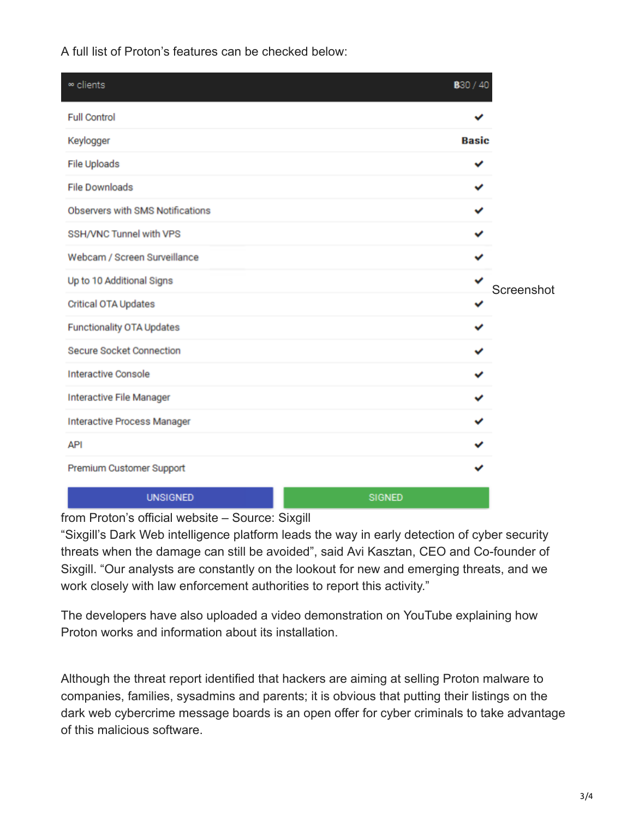A full list of Proton's features can be checked below:

| ∞ clients                        | B <sub>30</sub> / 40 |            |  |
|----------------------------------|----------------------|------------|--|
| <b>Full Control</b>              |                      |            |  |
| Keylogger                        | <b>Basic</b>         | Screenshot |  |
| File Uploads                     | ✔                    |            |  |
| <b>File Downloads</b>            | ✓                    |            |  |
| Observers with SMS Notifications | ✓                    |            |  |
| SSH/VNC Tunnel with VPS          | ✓                    |            |  |
| Webcam / Screen Surveillance     | ✓                    |            |  |
| Up to 10 Additional Signs        | ✓                    |            |  |
| Critical OTA Updates             | ✓                    |            |  |
| Functionality OTA Updates        | ✓                    |            |  |
| <b>Secure Socket Connection</b>  | ✓                    |            |  |
| <b>Interactive Console</b>       | ✓                    |            |  |
| Interactive File Manager         | ✓                    |            |  |
| Interactive Process Manager      | ✓                    |            |  |
| <b>API</b>                       |                      |            |  |
| Premium Customer Support         |                      |            |  |
| <b>UNSIGNED</b>                  | <b>SIGNED</b>        |            |  |

from Proton's official website – Source: Sixgill

"Sixgill's Dark Web intelligence platform leads the way in early detection of cyber security threats when the damage can still be avoided", said Avi Kasztan, CEO and Co-founder of Sixgill. "Our analysts are constantly on the lookout for new and emerging threats, and we work closely with law enforcement authorities to report this activity."

The developers have also uploaded a video demonstration on YouTube explaining how Proton works and information about its installation.

Although the threat report identified that hackers are aiming at selling Proton malware to companies, families, sysadmins and parents; it is obvious that putting their listings on the dark web cybercrime message boards is an open offer for cyber criminals to take advantage of this malicious software.